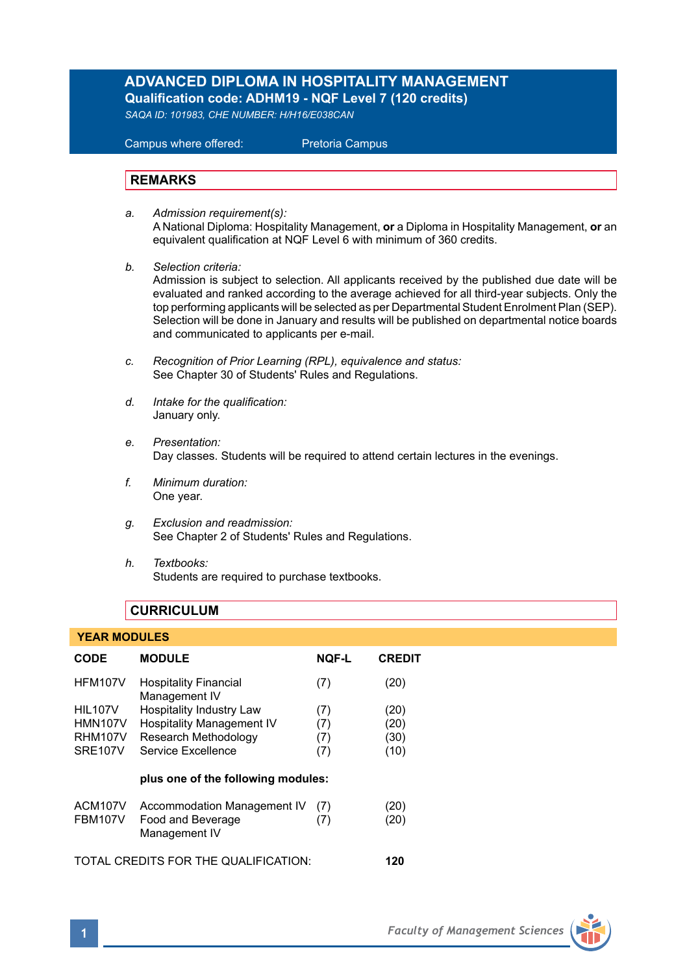# **ADVANCED DIPLOMA IN HOSPITALITY MANAGEMENT Qualification code: ADHM19 - NQF Level 7 (120 credits)**

*SAQA ID: 101983, CHE NUMBER: H/H16/E038CAN* 

 Campus where offered: Pretoria Campus

# **REMARKS**

- *a. Admission requirement(s):*  A National Diploma: Hospitality Management, **or** a Diploma in Hospitality Management, **or** an equivalent qualification at NQF Level 6 with minimum of 360 credits.
- *b. Selection criteria:* Admission is subject to selection. All applicants received by the published due date will be evaluated and ranked according to the average achieved for all third-year subjects. Only the top performing applicants will be selected as per Departmental Student Enrolment Plan (SEP). Selection will be done in January and results will be published on departmental notice boards and communicated to applicants per e-mail.
- *c. Recognition of Prior Learning (RPL), equivalence and status:* See Chapter 30 of Students' Rules and Regulations.
- *d. Intake for the qualification:* January only.
- *e. Presentation:* Day classes. Students will be required to attend certain lectures in the evenings.
- *f. Minimum duration:* One year.
- *g. Exclusion and readmission:* See Chapter 2 of Students' Rules and Regulations.
- *h. Textbooks:* Students are required to purchase textbooks.

# **CURRICULUM**

| <b>YEAR MODULES</b>                  |                                                                   |              |               |
|--------------------------------------|-------------------------------------------------------------------|--------------|---------------|
| <b>CODE</b>                          | <b>MODULE</b>                                                     | <b>NOF-L</b> | <b>CREDIT</b> |
| <b>HFM107V</b>                       | <b>Hospitality Financial</b><br>Management IV                     | (7)          | (20)          |
| <b>HIL107V</b>                       | <b>Hospitality Industry Law</b>                                   | (7)          | (20)          |
| <b>HMN107V</b>                       | <b>Hospitality Management IV</b>                                  | (7)          | (20)          |
| <b>RHM107V</b>                       | Research Methodology                                              | (7)          | (30)          |
| <b>SRE107V</b>                       | Service Excellence                                                | (7)          | (10)          |
| plus one of the following modules:   |                                                                   |              |               |
| ACM107V<br><b>FBM107V</b>            | Accommodation Management IV<br>Food and Beverage<br>Management IV | (7)<br>(7)   | (20)<br>(20)  |
| TOTAL CREDITS FOR THE QUALIFICATION: |                                                                   |              |               |